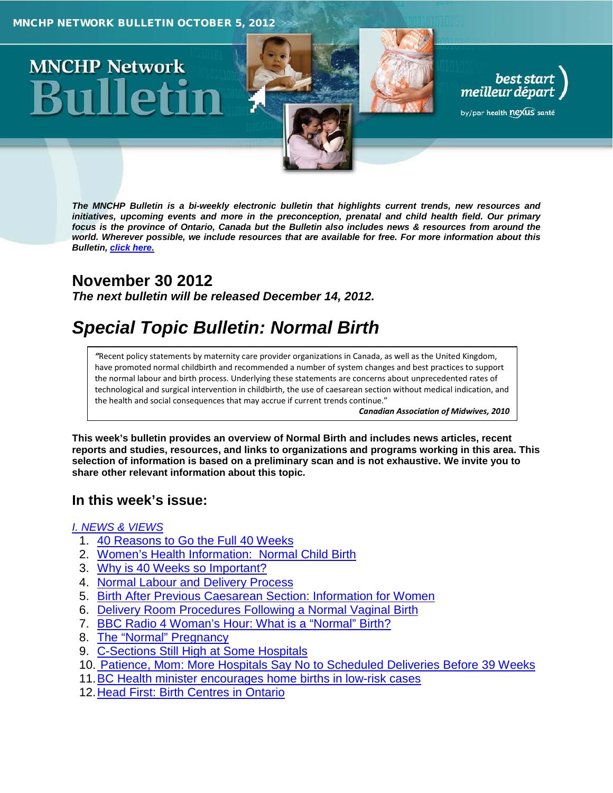# **MNCHP Network**

*The MNCHP Bulletin is a bi-weekly electronic bulletin that highlights current trends, new resources and initiatives, upcoming events and more in the preconception, prenatal and child health field. Our primary focus is the province of Ontario, Canada but the Bulletin also includes news & resources from around the world. Wherever possible, we include resources that are available for free. For more information about this Bulletin, click here.*

# **November 30 2012**

*The next bulletin will be released December 14, 2012.*

# *Special Topic Bulletin: Normal Birth*

*"*Recent policy statements by maternity care provider organizations in Canada, as well as the United Kingdom, have promoted normal childbirth and recommended a number of system changes and best practices to support the normal labour and birth process. Underlying these statements are concerns about unprecedented rates of technological and surgical intervention in childbirth, the use of caesarean section without medical indication, and the health and social consequences that may accrue if current trends continue."

*Canadian Association of Midwives, 2010*

best start<br>, meilleur départ

by/par health nexus santé

**This week's bulletin provides an overview of Normal Birth and includes news articles, recent reports and studies, resources, and links to organizations and programs working in this area. This selection of information is based on a preliminary scan and is not exhaustive. We invite you to share other relevant information about this topic.**

# **In this week's issue:**

# *[I. NEWS & VIEWS](#page-1-0)*

- 1. [40 Reasons to Go the Full 40 Weeks](#page-1-1)
- 2. [Women's Health Information: Normal Child Birth](#page-2-0)
- 3. [Why is 40 Weeks so Important?](#page-2-1)
- 4. [Normal Labour and Delivery Process](#page-2-2)
- 5. [Birth After Previous Caesarean Section: Information for Women](#page-2-3)
- 6. [Delivery Room Procedures Following a Normal Vaginal Birth](#page-3-0)
- 7. [BBC Radio 4 Woman's Hour: What is a "Normal" Birth?](#page-3-1)
- 8. [The "Normal" Pregnancy](#page-3-2)
- 9. [C-Sections Still High at Some Hospitals](#page-3-3)
- 10. [Patience, Mom: More Hospitals Say No to Scheduled Deliveries Before 39 Weeks](#page-3-4)
- 11[.BC Health minister encourages home births in low-risk cases](#page-4-0)
- 12. Head First: Birth Centres in Ontario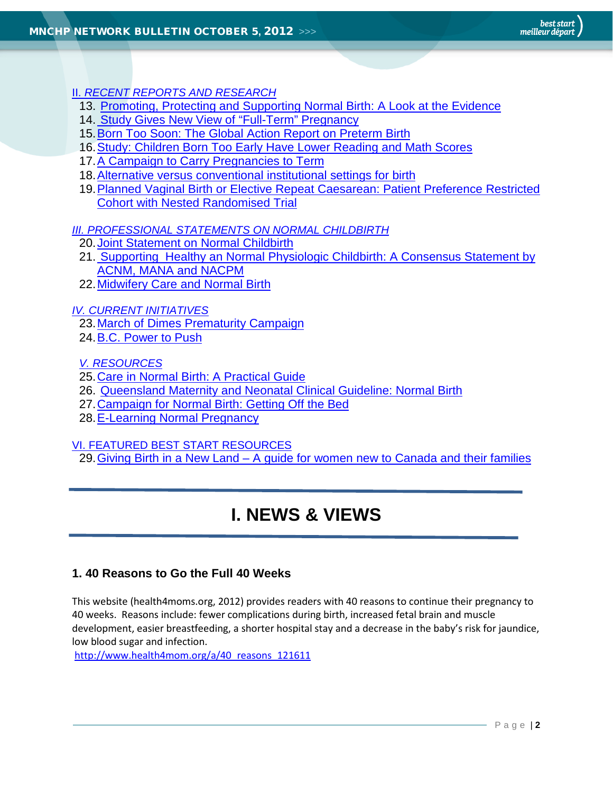<span id="page-1-0"></span>II. *[RECENT REPORTS AND RESEARCH](#page-4-2)*

- 13. [Promoting, Protecting and Supporting Normal Birth: A Look at the Evidence](#page-4-3)
- 14. [Study Gives New View of "Full-Term" Pregnancy](#page-5-0)
- 15[.Born Too Soon: The Global Action Report on Preterm Birth](#page-5-1)
- 16[.Study: Children Born Too Early Have Lower Reading and Math Scores](#page-5-2)
- 17[.A Campaign to Carry Pregnancies to Term](#page-5-3)
- 18. Alternative versus conventional institutional settings for birth
- [19.Planned Vaginal Birth or Elective Repeat Caesarean: Patient Preference Restricted](#page-6-0)  [Cohort with Nested Randomised Trial](#page-6-0)

*[III. PROFESSIONAL STATEMENTS ON NORMAL CHILDBIRTH](#page-7-0)*

- 20[.Joint Statement on Normal Childbirth](#page-7-1)
- 21. [Supporting Healthy an Normal Physiologic Childbirth: A Consensus Statement by](#page-8-0)  [ACNM, MANA and NACPM](#page-8-0)
- 22[.Midwifery Care and Normal Birth](#page-8-1)

*[IV. CURRENT INITIATIVES](#page-7-2)*

23[.March of Dimes Prematurity Campaign](#page-9-0)

24[.B.C. Power to Push](#page-9-1)

*[V. RESOURCES](#page-9-2)*

- 25[.Care in Normal Birth: A Practical Guide](#page-9-3)
- 26. [Queensland Maternity and Neonatal Clinical Guideline: Normal Birth](#page-9-4)
- 27[.Campaign for Normal Birth: Getting Off the Bed](#page-10-0)
- 28.E-Learning Normal Pregnancy

[VI. FEATURED BEST START RESOURCES](#page-10-1)

29.Giving Birth in a New Land – [A guide for women new to Canada and their families](#page-10-2)

# **I. NEWS & VIEWS**

# <span id="page-1-1"></span>**1. 40 Reasons to Go the Full 40 Weeks**

This website (health4moms.org, 2012) provides readers with 40 reasons to continue their pregnancy to 40 weeks. Reasons include: fewer complications during birth, increased fetal brain and muscle development, easier breastfeeding, a shorter hospital stay and a decrease in the baby's risk for jaundice, low blood sugar and infection.

[http://www.health4mom.org/a/40\\_reasons\\_121611](http://www.health4mom.org/a/40_reasons_121611)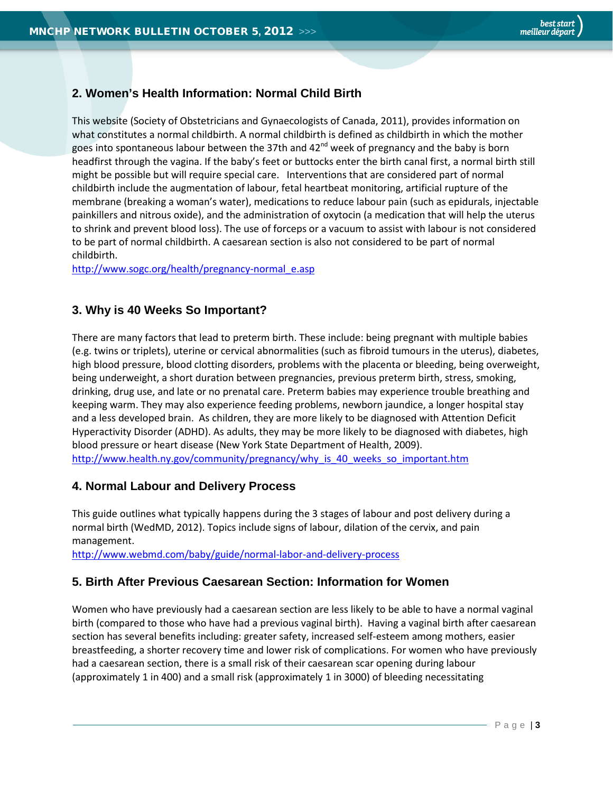# <span id="page-2-0"></span>**2. Women's Health Information: Normal Child Birth**

This website (Society of Obstetricians and Gynaecologists of Canada, 2011), provides information on what constitutes a normal childbirth. A normal childbirth is defined as childbirth in which the mother goes into spontaneous labour between the 37th and  $42<sup>nd</sup>$  week of pregnancy and the baby is born headfirst through the vagina. If the baby's feet or buttocks enter the birth canal first, a normal birth still might be possible but will require special care. Interventions that are considered part of normal childbirth include the augmentation of labour, fetal heartbeat monitoring, artificial rupture of the membrane (breaking a woman's water), medications to reduce labour pain (such as epidurals, injectable painkillers and nitrous oxide), and the administration of oxytocin (a medication that will help the uterus to shrink and prevent blood loss). The use of forceps or a vacuum to assist with labour is not considered to be part of normal childbirth. A caesarean section is also not considered to be part of normal childbirth.

[http://www.sogc.org/health/pregnancy-normal\\_e.asp](http://www.sogc.org/health/pregnancy-normal_e.asp)

# <span id="page-2-1"></span>**3. Why is 40 Weeks So Important?**

There are many factors that lead to preterm birth. These include: being pregnant with multiple babies (e.g. twins or triplets), uterine or cervical abnormalities (such as fibroid tumours in the uterus), diabetes, high blood pressure, blood clotting disorders, problems with the placenta or bleeding, being overweight, being underweight, a short duration between pregnancies, previous preterm birth, stress, smoking, drinking, drug use, and late or no prenatal care. Preterm babies may experience trouble breathing and keeping warm. They may also experience feeding problems, newborn jaundice, a longer hospital stay and a less developed brain. As children, they are more likely to be diagnosed with Attention Deficit Hyperactivity Disorder (ADHD). As adults, they may be more likely to be diagnosed with diabetes, high blood pressure or heart disease (New York State Department of Health, 2009). [http://www.health.ny.gov/community/pregnancy/why\\_is\\_40\\_weeks\\_so\\_important.htm](http://www.health.ny.gov/community/pregnancy/why_is_40_weeks_so_important.htm)

# <span id="page-2-2"></span>**4. Normal Labour and Delivery Process**

This guide outlines what typically happens during the 3 stages of labour and post delivery during a normal birth (WedMD, 2012). Topics include signs of labour, dilation of the cervix, and pain management.

<span id="page-2-3"></span><http://www.webmd.com/baby/guide/normal-labor-and-delivery-process>

# **5. Birth After Previous Caesarean Section: Information for Women**

Women who have previously had a caesarean section are less likely to be able to have a normal vaginal birth (compared to those who have had a previous vaginal birth). Having a vaginal birth after caesarean section has several benefits including: greater safety, increased self-esteem among mothers, easier breastfeeding, a shorter recovery time and lower risk of complications. For women who have previously had a caesarean section, there is a small risk of their caesarean scar opening during labour (approximately 1 in 400) and a small risk (approximately 1 in 3000) of bleeding necessitating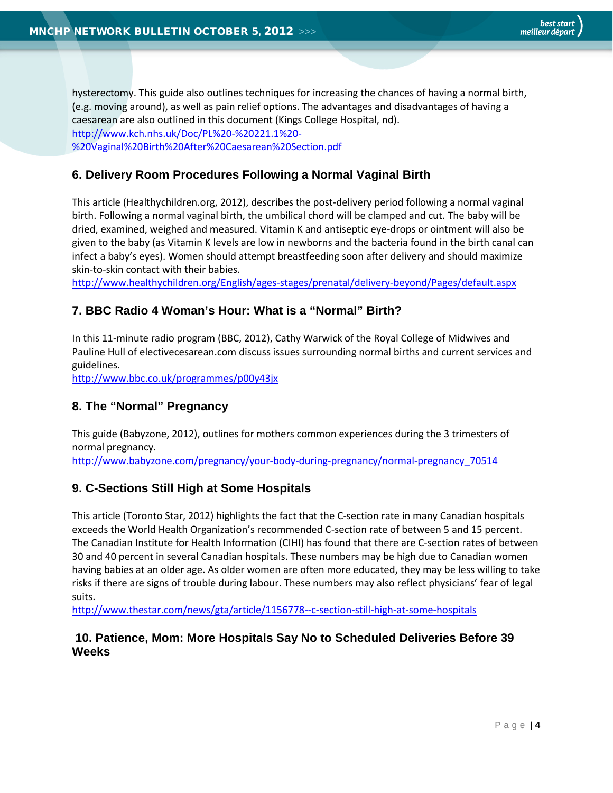hysterectomy. This guide also outlines techniques for increasing the chances of having a normal birth, (e.g. moving around), as well as pain relief options. The advantages and disadvantages of having a caesarean are also outlined in this document (Kings College Hospital, nd). [http://www.kch.nhs.uk/Doc/PL%20-%20221.1%20-](http://www.kch.nhs.uk/Doc/PL%20-%20221.1%20-%20Vaginal%20Birth%20After%20Caesarean%20Section.pdf) [%20Vaginal%20Birth%20After%20Caesarean%20Section.pdf](http://www.kch.nhs.uk/Doc/PL%20-%20221.1%20-%20Vaginal%20Birth%20After%20Caesarean%20Section.pdf)

# <span id="page-3-0"></span>**6. Delivery Room Procedures Following a Normal Vaginal Birth**

This article (Healthychildren.org, 2012), describes the post-delivery period following a normal vaginal birth. Following a normal vaginal birth, the umbilical chord will be clamped and cut. The baby will be dried, examined, weighed and measured. Vitamin K and antiseptic eye-drops or ointment will also be given to the baby (as Vitamin K levels are low in newborns and the bacteria found in the birth canal can infect a baby's eyes). Women should attempt breastfeeding soon after delivery and should maximize skin-to-skin contact with their babies.

<span id="page-3-1"></span><http://www.healthychildren.org/English/ages-stages/prenatal/delivery-beyond/Pages/default.aspx>

# **7. BBC Radio 4 Woman's Hour: What is a "Normal" Birth?**

In this 11-minute radio program (BBC, 2012), Cathy Warwick of the Royal College of Midwives and Pauline Hull of electivecesarean.com discuss issues surrounding normal births and current services and guidelines.

<span id="page-3-2"></span><http://www.bbc.co.uk/programmes/p00y43jx>

# **8. The "Normal" Pregnancy**

This guide (Babyzone, 2012), outlines for mothers common experiences during the 3 trimesters of normal pregnancy.

<span id="page-3-3"></span>[http://www.babyzone.com/pregnancy/your-body-during-pregnancy/normal-pregnancy\\_70514](http://www.babyzone.com/pregnancy/your-body-during-pregnancy/normal-pregnancy_70514)

# **9. C-Sections Still High at Some Hospitals**

This article (Toronto Star, 2012) highlights the fact that the C-section rate in many Canadian hospitals exceeds the World Health Organization's recommended C-section rate of between 5 and 15 percent. The Canadian Institute for Health Information (CIHI) has found that there are C-section rates of between 30 and 40 percent in several Canadian hospitals. These numbers may be high due to Canadian women having babies at an older age. As older women are often more educated, they may be less willing to take risks if there are signs of trouble during labour. These numbers may also reflect physicians' fear of legal suits.

<span id="page-3-4"></span><http://www.thestar.com/news/gta/article/1156778--c-section-still-high-at-some-hospitals>

# **10. Patience, Mom: More Hospitals Say No to Scheduled Deliveries Before 39 Weeks**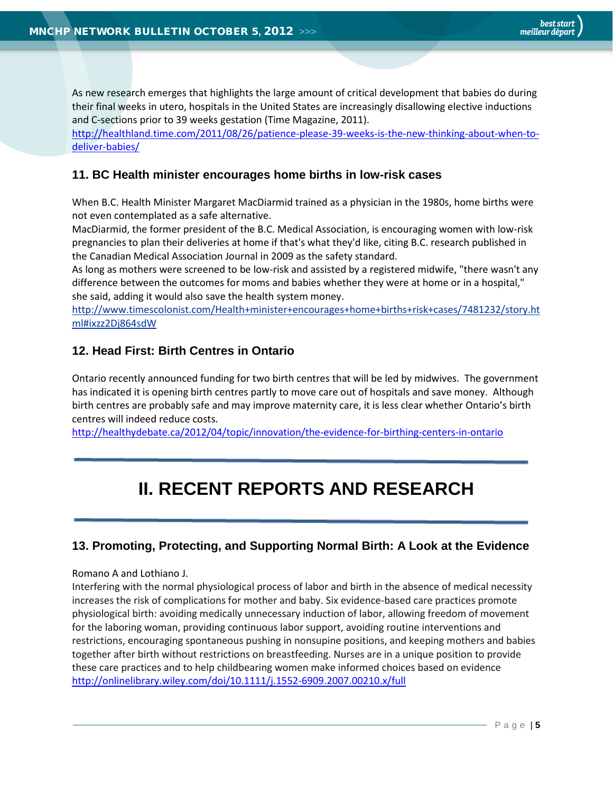As new research emerges that highlights the large amount of critical development that babies do during their final weeks in utero, hospitals in the United States are increasingly disallowing elective inductions and C-sections prior to 39 weeks gestation (Time Magazine, 2011).

[http://healthland.time.com/2011/08/26/patience-please-39-weeks-is-the-new-thinking-about-when-to](http://healthland.time.com/2011/08/26/patience-please-39-weeks-is-the-new-thinking-about-when-to-deliver-babies/)[deliver-babies/](http://healthland.time.com/2011/08/26/patience-please-39-weeks-is-the-new-thinking-about-when-to-deliver-babies/)

## <span id="page-4-0"></span>**11. BC Health minister encourages home births in low-risk cases**

When B.C. Health Minister Margaret MacDiarmid trained as a physician in the 1980s, home births were not even contemplated as a safe alternative.

MacDiarmid, the former president of the B.C. Medical Association, is encouraging women with low-risk pregnancies to plan their deliveries at home if that's what they'd like, citing B.C. research published in the Canadian Medical Association Journal in 2009 as the safety standard.

As long as mothers were screened to be low-risk and assisted by a registered midwife, "there wasn't any difference between the outcomes for moms and babies whether they were at home or in a hospital," she said, adding it would also save the health system money.

[http://www.timescolonist.com/Health+minister+encourages+home+births+risk+cases/7481232/story.ht](http://www.timescolonist.com/Health+minister+encourages+home+births+risk+cases/7481232/story.html#ixzz2Dj864sdW) [ml#ixzz2Dj864sdW](http://www.timescolonist.com/Health+minister+encourages+home+births+risk+cases/7481232/story.html#ixzz2Dj864sdW)

### <span id="page-4-1"></span>**12. Head First: Birth Centres in Ontario**

Ontario recently announced funding for two birth centres that will be led by midwives. The government has indicated it is opening birth centres partly to move care out of hospitals and save money. Although birth centres are probably safe and may improve maternity care, it is less clear whether Ontario's birth centres will indeed reduce costs.

<span id="page-4-2"></span><http://healthydebate.ca/2012/04/topic/innovation/the-evidence-for-birthing-centers-in-ontario>

# **II. RECENT REPORTS AND RESEARCH**

#### <span id="page-4-3"></span>**13. Promoting, Protecting, and Supporting Normal Birth: A Look at the Evidence**

#### Romano A and Lothiano J.

Interfering with the normal physiological process of labor and birth in the absence of medical necessity increases the risk of complications for mother and baby. Six evidence-based care practices promote physiological birth: avoiding medically unnecessary induction of labor, allowing freedom of movement for the laboring woman, providing continuous labor support, avoiding routine interventions and restrictions, encouraging spontaneous pushing in nonsupine positions, and keeping mothers and babies together after birth without restrictions on breastfeeding. Nurses are in a unique position to provide these care practices and to help childbearing women make informed choices based on evidence <http://onlinelibrary.wiley.com/doi/10.1111/j.1552-6909.2007.00210.x/full>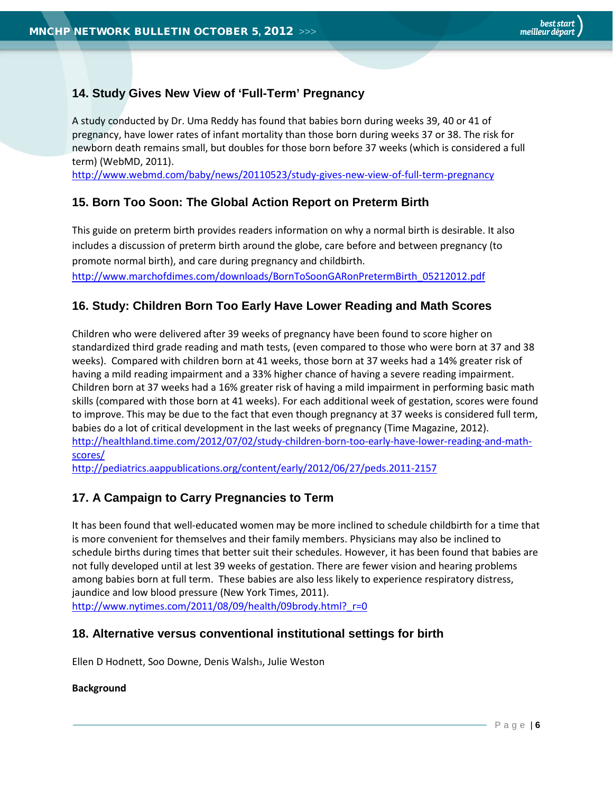# <span id="page-5-0"></span>**14. Study Gives New View of 'Full-Term' Pregnancy**

A study conducted by Dr. Uma Reddy has found that babies born during weeks 39, 40 or 41 of pregnancy, have lower rates of infant mortality than those born during weeks 37 or 38. The risk for newborn death remains small, but doubles for those born before 37 weeks (which is considered a full term) (WebMD, 2011).

<span id="page-5-1"></span><http://www.webmd.com/baby/news/20110523/study-gives-new-view-of-full-term-pregnancy>

# **15. Born Too Soon: The Global Action Report on Preterm Birth**

This guide on preterm birth provides readers information on why a normal birth is desirable. It also includes a discussion of preterm birth around the globe, care before and between pregnancy (to promote normal birth), and care during pregnancy and childbirth.

[http://www.marchofdimes.com/downloads/BornToSoonGARonPretermBirth\\_05212012.pdf](http://www.marchofdimes.com/downloads/BornToSoonGARonPretermBirth_05212012.pdf)

# <span id="page-5-2"></span>**16. Study: Children Born Too Early Have Lower Reading and Math Scores**

Children who were delivered after 39 weeks of pregnancy have been found to score higher on standardized third grade reading and math tests, (even compared to those who were born at 37 and 38 weeks). Compared with children born at 41 weeks, those born at 37 weeks had a 14% greater risk of having a mild reading impairment and a 33% higher chance of having a severe reading impairment. Children born at 37 weeks had a 16% greater risk of having a mild impairment in performing basic math skills (compared with those born at 41 weeks). For each additional week of gestation, scores were found to improve. This may be due to the fact that even though pregnancy at 37 weeks is considered full term, babies do a lot of critical development in the last weeks of pregnancy (Time Magazine, 2012). [http://healthland.time.com/2012/07/02/study-children-born-too-early-have-lower-reading-and-math](http://healthland.time.com/2012/07/02/study-children-born-too-early-have-lower-reading-and-math-scores/)[scores/](http://healthland.time.com/2012/07/02/study-children-born-too-early-have-lower-reading-and-math-scores/)

<http://pediatrics.aappublications.org/content/early/2012/06/27/peds.2011-2157>

# <span id="page-5-3"></span>**17. A Campaign to Carry Pregnancies to Term**

It has been found that well-educated women may be more inclined to schedule childbirth for a time that is more convenient for themselves and their family members. Physicians may also be inclined to schedule births during times that better suit their schedules. However, it has been found that babies are not fully developed until at lest 39 weeks of gestation. There are fewer vision and hearing problems among babies born at full term. These babies are also less likely to experience respiratory distress, jaundice and low blood pressure (New York Times, 2011). http://www.nytimes.com/2011/08/09/health/09brody.html? r=0

# <span id="page-5-4"></span>**18. Alternative versus conventional institutional settings for birth**

Ellen D Hodnett, Soo Downe, Denis Walsh<sub>3</sub>, Julie Weston

#### **Background**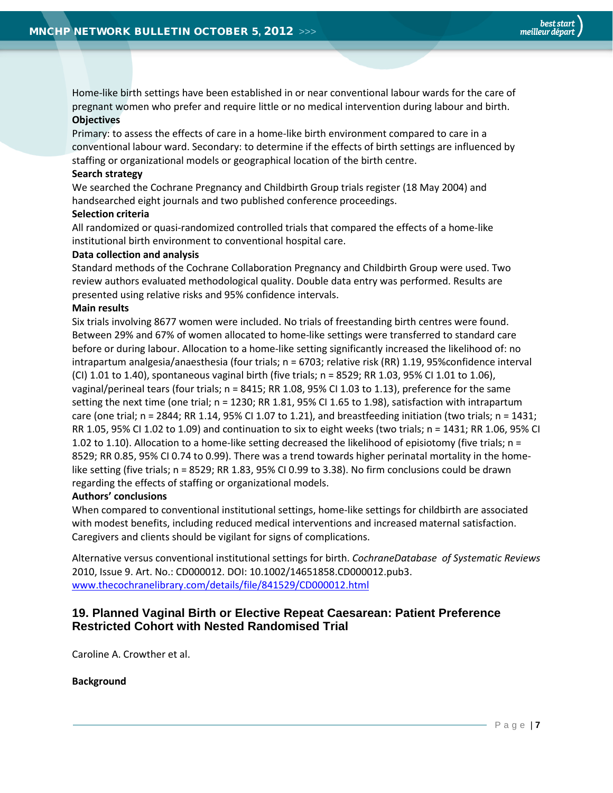Home-like birth settings have been established in or near conventional labour wards for the care of pregnant women who prefer and require little or no medical intervention during labour and birth. **Objectives**

Primary: to assess the effects of care in a home-like birth environment compared to care in a conventional labour ward. Secondary: to determine if the effects of birth settings are influenced by staffing or organizational models or geographical location of the birth centre.

#### **Search strategy**

We searched the Cochrane Pregnancy and Childbirth Group trials register (18 May 2004) and handsearched eight journals and two published conference proceedings.

#### **Selection criteria**

All randomized or quasi-randomized controlled trials that compared the effects of a home-like institutional birth environment to conventional hospital care.

#### **Data collection and analysis**

Standard methods of the Cochrane Collaboration Pregnancy and Childbirth Group were used. Two review authors evaluated methodological quality. Double data entry was performed. Results are presented using relative risks and 95% confidence intervals.

#### **Main results**

Six trials involving 8677 women were included. No trials of freestanding birth centres were found. Between 29% and 67% of women allocated to home-like settings were transferred to standard care before or during labour. Allocation to a home-like setting significantly increased the likelihood of: no intrapartum analgesia/anaesthesia (four trials; n = 6703; relative risk (RR) 1.19, 95%confidence interval (CI) 1.01 to 1.40), spontaneous vaginal birth (five trials;  $n = 8529$ ; RR 1.03, 95% CI 1.01 to 1.06), vaginal/perineal tears (four trials; n = 8415; RR 1.08, 95% CI 1.03 to 1.13), preference for the same setting the next time (one trial; n = 1230; RR 1.81, 95% CI 1.65 to 1.98), satisfaction with intrapartum care (one trial;  $n = 2844$ ; RR 1.14, 95% CI 1.07 to 1.21), and breastfeeding initiation (two trials;  $n = 1431$ ; RR 1.05, 95% CI 1.02 to 1.09) and continuation to six to eight weeks (two trials; n = 1431; RR 1.06, 95% CI 1.02 to 1.10). Allocation to a home-like setting decreased the likelihood of episiotomy (five trials; n = 8529; RR 0.85, 95% CI 0.74 to 0.99). There was a trend towards higher perinatal mortality in the homelike setting (five trials; n = 8529; RR 1.83, 95% CI 0.99 to 3.38). No firm conclusions could be drawn regarding the effects of staffing or organizational models.

#### **Authors' conclusions**

When compared to conventional institutional settings, home-like settings for childbirth are associated with modest benefits, including reduced medical interventions and increased maternal satisfaction. Caregivers and clients should be vigilant for signs of complications.

Alternative versus conventional institutional settings for birth. *CochraneDatabase of Systematic Reviews*  2010, Issue 9. Art. No.: CD000012. DOI: 10.1002/14651858.CD000012.pub3. [www.thecochranelibrary.com/details/file/841529/CD000012.html](http://www.thecochranelibrary.com/details/file/841529/CD000012.html)

# <span id="page-6-0"></span>**19. Planned Vaginal Birth or Elective Repeat Caesarean: Patient Preference Restricted Cohort with Nested Randomised Trial**

Caroline A. Crowther et al.

**Background**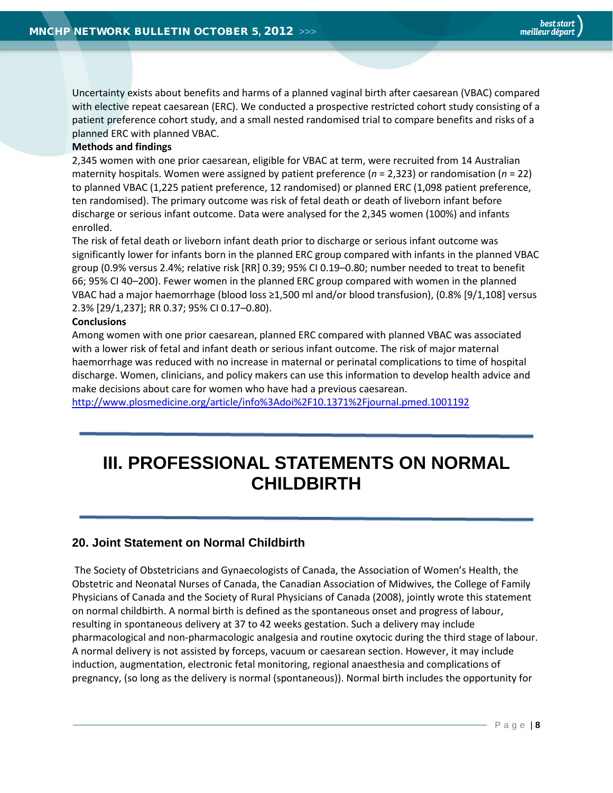<span id="page-7-0"></span>Uncertainty exists about benefits and harms of a planned vaginal birth after caesarean (VBAC) compared with elective repeat caesarean (ERC). We conducted a prospective restricted cohort study consisting of a patient preference cohort study, and a small nested randomised trial to compare benefits and risks of a planned ERC with planned VBAC.

#### **Methods and findings**

2,345 women with one prior caesarean, eligible for VBAC at term, were recruited from 14 Australian maternity hospitals. Women were assigned by patient preference (*n* = 2,323) or randomisation (*n* = 22) to planned VBAC (1,225 patient preference, 12 randomised) or planned ERC (1,098 patient preference, ten randomised). The primary outcome was risk of fetal death or death of liveborn infant before discharge or serious infant outcome. Data were analysed for the 2,345 women (100%) and infants enrolled.

The risk of fetal death or liveborn infant death prior to discharge or serious infant outcome was significantly lower for infants born in the planned ERC group compared with infants in the planned VBAC group (0.9% versus 2.4%; relative risk [RR] 0.39; 95% CI 0.19–0.80; number needed to treat to benefit 66; 95% CI 40–200). Fewer women in the planned ERC group compared with women in the planned VBAC had a major haemorrhage (blood loss ≥1,500 ml and/or blood transfusion), (0.8% [9/1,108] versus 2.3% [29/1,237]; RR 0.37; 95% CI 0.17–0.80).

#### **Conclusions**

Among women with one prior caesarean, planned ERC compared with planned VBAC was associated with a lower risk of fetal and infant death or serious infant outcome. The risk of major maternal haemorrhage was reduced with no increase in maternal or perinatal complications to time of hospital discharge. Women, clinicians, and policy makers can use this information to develop health advice and make decisions about care for women who have had a previous caesarean.

<http://www.plosmedicine.org/article/info%3Adoi%2F10.1371%2Fjournal.pmed.1001192>

# <span id="page-7-2"></span>**III. PROFESSIONAL STATEMENTS ON NORMAL CHILDBIRTH**

# <span id="page-7-1"></span>**20. Joint Statement on Normal Childbirth**

The Society of Obstetricians and Gynaecologists of Canada, the Association of Women's Health, the Obstetric and Neonatal Nurses of Canada, the Canadian Association of Midwives, the College of Family Physicians of Canada and the Society of Rural Physicians of Canada (2008), jointly wrote this statement on normal childbirth. A normal birth is defined as the spontaneous onset and progress of labour, resulting in spontaneous delivery at 37 to 42 weeks gestation. Such a delivery may include pharmacological and non-pharmacologic analgesia and routine oxytocic during the third stage of labour. A normal delivery is not assisted by forceps, vacuum or caesarean section. However, it may include induction, augmentation, electronic fetal monitoring, regional anaesthesia and complications of pregnancy, (so long as the delivery is normal (spontaneous)). Normal birth includes the opportunity for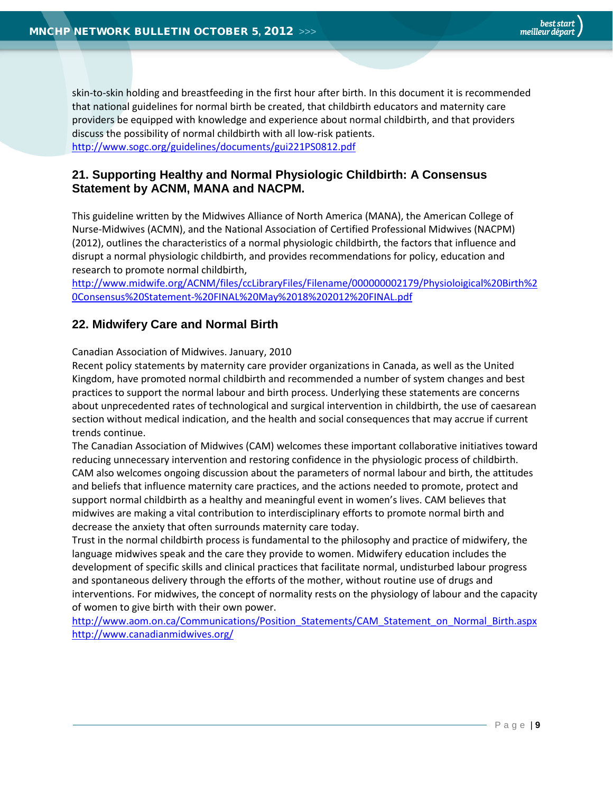skin-to-skin holding and breastfeeding in the first hour after birth. In this document it is recommended that national guidelines for normal birth be created, that childbirth educators and maternity care providers be equipped with knowledge and experience about normal childbirth, and that providers discuss the possibility of normal childbirth with all low-risk patients. <http://www.sogc.org/guidelines/documents/gui221PS0812.pdf>

# <span id="page-8-0"></span>**21. Supporting Healthy and Normal Physiologic Childbirth: A Consensus Statement by ACNM, MANA and NACPM.**

This guideline written by the Midwives Alliance of North America (MANA), the American College of Nurse-Midwives (ACMN), and the National Association of Certified Professional Midwives (NACPM) (2012), outlines the characteristics of a normal physiologic childbirth, the factors that influence and disrupt a normal physiologic childbirth, and provides recommendations for policy, education and research to promote normal childbirth,

[http://www.midwife.org/ACNM/files/ccLibraryFiles/Filename/000000002179/Physioloigical%20Birth%2](http://www.midwife.org/ACNM/files/ccLibraryFiles/Filename/000000002179/Physioloigical%20Birth%20Consensus%20Statement-%20FINAL%20May%2018%202012%20FINAL.pdf) [0Consensus%20Statement-%20FINAL%20May%2018%202012%20FINAL.pdf](http://www.midwife.org/ACNM/files/ccLibraryFiles/Filename/000000002179/Physioloigical%20Birth%20Consensus%20Statement-%20FINAL%20May%2018%202012%20FINAL.pdf)

# <span id="page-8-1"></span>**22. Midwifery Care and Normal Birth**

Canadian Association of Midwives. January, 2010

Recent policy statements by maternity care provider organizations in Canada, as well as the United Kingdom, have promoted normal childbirth and recommended a number of system changes and best practices to support the normal labour and birth process. Underlying these statements are concerns about unprecedented rates of technological and surgical intervention in childbirth, the use of caesarean section without medical indication, and the health and social consequences that may accrue if current trends continue.

The Canadian Association of Midwives (CAM) welcomes these important collaborative initiatives toward reducing unnecessary intervention and restoring confidence in the physiologic process of childbirth. CAM also welcomes ongoing discussion about the parameters of normal labour and birth, the attitudes and beliefs that influence maternity care practices, and the actions needed to promote, protect and support normal childbirth as a healthy and meaningful event in women's lives. CAM believes that midwives are making a vital contribution to interdisciplinary efforts to promote normal birth and decrease the anxiety that often surrounds maternity care today.

Trust in the normal childbirth process is fundamental to the philosophy and practice of midwifery, the language midwives speak and the care they provide to women. Midwifery education includes the development of specific skills and clinical practices that facilitate normal, undisturbed labour progress and spontaneous delivery through the efforts of the mother, without routine use of drugs and interventions. For midwives, the concept of normality rests on the physiology of labour and the capacity of women to give birth with their own power.

[http://www.aom.on.ca/Communications/Position\\_Statements/CAM\\_Statement\\_on\\_Normal\\_Birth.aspx](http://www.aom.on.ca/Communications/Position_Statements/CAM_Statement_on_Normal_Birth.aspx) <http://www.canadianmidwives.org/>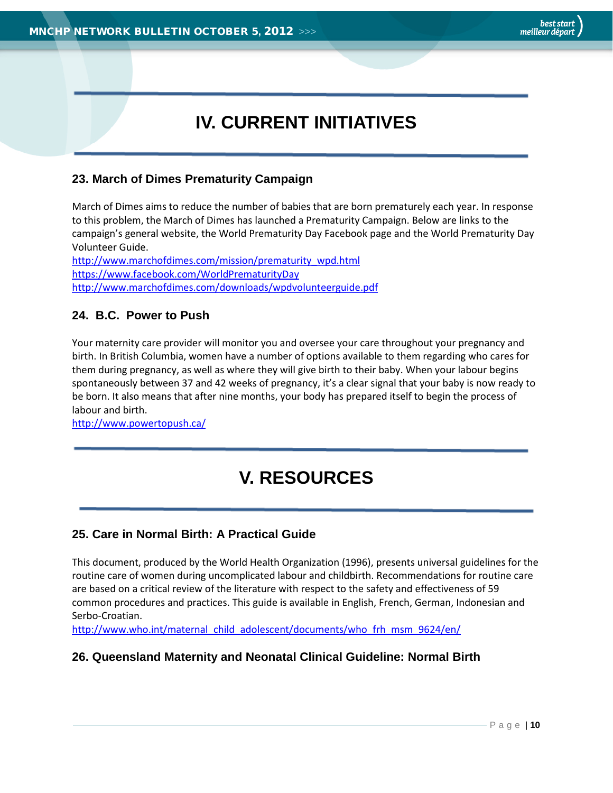# **IV. CURRENT INITIATIVES**

# <span id="page-9-0"></span>**23. March of Dimes Prematurity Campaign**

March of Dimes aims to reduce the number of babies that are born prematurely each year. In response to this problem, the March of Dimes has launched a Prematurity Campaign. Below are links to the campaign's general website, the World Prematurity Day Facebook page and the World Prematurity Day Volunteer Guide.

[http://www.marchofdimes.com/mission/prematurity\\_wpd.html](http://www.marchofdimes.com/mission/prematurity_wpd.html) <https://www.facebook.com/WorldPrematurityDay> <http://www.marchofdimes.com/downloads/wpdvolunteerguide.pdf>

# <span id="page-9-1"></span>**24. B.C. Power to Push**

Your maternity care provider will monitor you and oversee your care throughout your pregnancy and birth. In British Columbia, women have a number of options available to them regarding who cares for them during pregnancy, as well as where they will give birth to their baby. When your labour begins spontaneously between 37 and 42 weeks of pregnancy, it's a clear signal that your baby is now ready to be born. It also means that after nine months, your body has prepared itself to begin the process of labour and birth.

<span id="page-9-2"></span><http://www.powertopush.ca/>

# **V. RESOURCES**

# <span id="page-9-3"></span>**25. Care in Normal Birth: A Practical Guide**

This document, produced by the World Health Organization (1996), presents universal guidelines for the routine care of women during uncomplicated labour and childbirth. Recommendations for routine care are based on a critical review of the literature with respect to the safety and effectiveness of 59 common procedures and practices. This guide is available in English, French, German, Indonesian and Serbo-Croatian.

<span id="page-9-4"></span>[http://www.who.int/maternal\\_child\\_adolescent/documents/who\\_frh\\_msm\\_9624/en/](http://www.who.int/maternal_child_adolescent/documents/who_frh_msm_9624/en/)

# **26. Queensland Maternity and Neonatal Clinical Guideline: Normal Birth**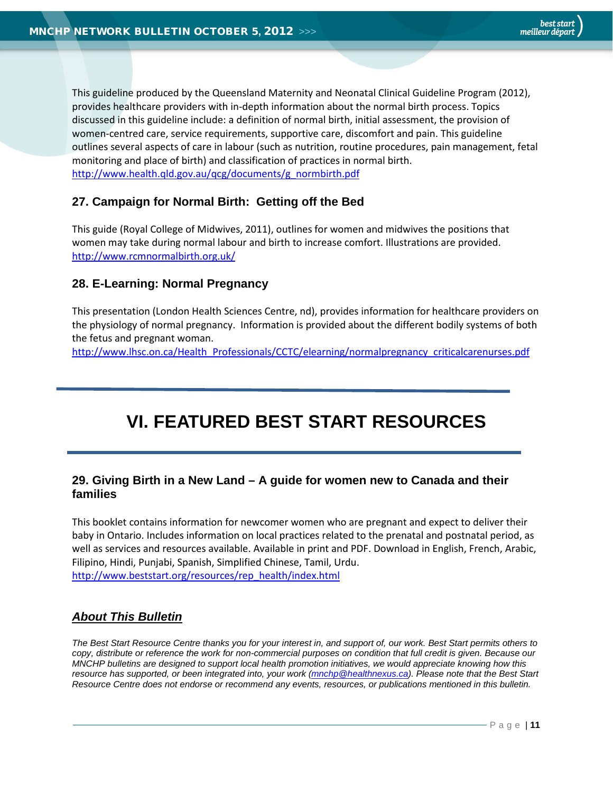<span id="page-10-1"></span>This guideline produced by the Queensland Maternity and Neonatal Clinical Guideline Program (2012), provides healthcare providers with in-depth information about the normal birth process. Topics discussed in this guideline include: a definition of normal birth, initial assessment, the provision of women-centred care, service requirements, supportive care, discomfort and pain. This guideline outlines several aspects of care in labour (such as nutrition, routine procedures, pain management, fetal monitoring and place of birth) and classification of practices in normal birth. [http://www.health.qld.gov.au/qcg/documents/g\\_normbirth.pdf](http://www.health.qld.gov.au/qcg/documents/g_normbirth.pdf)

# <span id="page-10-0"></span>**27. Campaign for Normal Birth: Getting off the Bed**

This guide (Royal College of Midwives, 2011), outlines for women and midwives the positions that women may take during normal labour and birth to increase comfort. Illustrations are provided. <http://www.rcmnormalbirth.org.uk/>

# **28. E-Learning: Normal Pregnancy**

This presentation (London Health Sciences Centre, nd), provides information for healthcare providers on the physiology of normal pregnancy. Information is provided about the different bodily systems of both the fetus and pregnant woman.

[http://www.lhsc.on.ca/Health\\_Professionals/CCTC/elearning/normalpregnancy\\_criticalcarenurses.pdf](http://www.lhsc.on.ca/Health_Professionals/CCTC/elearning/normalpregnancy_criticalcarenurses.pdf)

# **VI. FEATURED BEST START RESOURCES**

# <span id="page-10-2"></span>**29. Giving Birth in a New Land – A guide for women new to Canada and their families**

This booklet contains information for newcomer women who are pregnant and expect to deliver their baby in Ontario. Includes information on local practices related to the prenatal and postnatal period, as well as services and resources available. Available in print and PDF. Download in English, French, Arabic, Filipino, Hindi, Punjabi, Spanish, Simplified Chinese, Tamil, Urdu. [http://www.beststart.org/resources/rep\\_health/index.html](http://www.beststart.org/resources/rep_health/index.html)

# *About This Bulletin*

*The Best Start Resource Centre thanks you for your interest in, and support of, our work. Best Start permits others to copy, distribute or reference the work for non-commercial purposes on condition that full credit is given. Because our MNCHP bulletins are designed to support local health promotion initiatives, we would appreciate knowing how this resource has supported, or been integrated into, your work [\(mnchp@healthnexus.ca\)](mailto:mnchp@healthnexus.ca). Please note that the Best Start Resource Centre does not endorse or recommend any events, resources, or publications mentioned in this bulletin.*